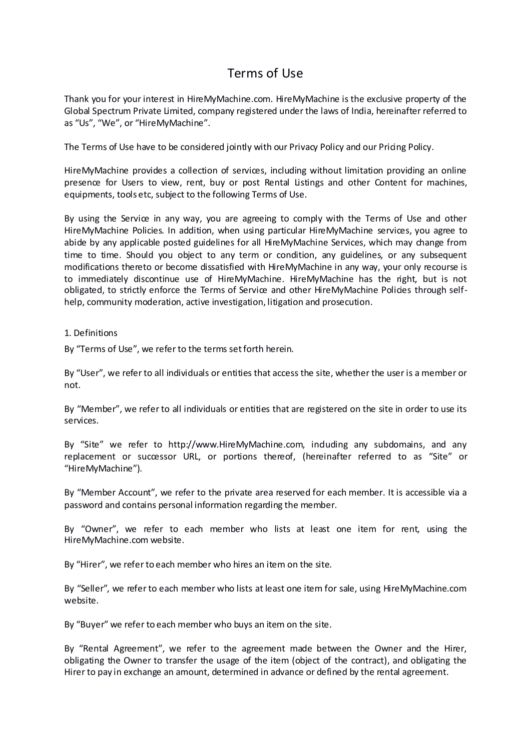# Terms of Use

Thank you for your interest in HireMyMachine.com. HireMyMachine is the exclusive property of the Global Spectrum Private Limited, company registered under the laws of India, hereinafter referred to as "Us", "We", or "HireMyMachine".

The Terms of Use have to be considered jointly with our Privacy Policy and our Pricing Policy.

HireMyMachine provides a collection of services, including without limitation providing an online presence for Users to view, rent, buy or post Rental Listings and other Content for machines, equipments, tools etc, subject to the following Terms of Use.

By using the Service in any way, you are agreeing to comply with the Terms of Use and other HireMyMachine Policies. In addition, when using particular HireMyMachine services, you agree to abide by any applicable posted guidelines for all HireMyMachine Services, which may change from time to time. Should you object to any term or condition, any guidelines, or any subsequent modifications thereto or become dissatisfied with HireMyMachine in any way, your only recourse is to immediately discontinue use of HireMyMachine. HireMyMachine has the right, but is not obligated, to strictly enforce the Terms of Service and other HireMyMachine Policies through selfhelp, community moderation, active investigation, litigation and prosecution.

1. Definitions

By "Terms of Use", we refer to the terms set forth herein.

By "User", we refer to all individuals or entities that access the site, whether the user is a member or not.

By "Member", we refer to all individuals or entities that are registered on the site in order to use its services.

By "Site" we refer to http://www.HireMyMachine.com, including any subdomains, and any replacement or successor URL, or portions thereof, (hereinafter referred to as "Site" or "HireMyMachine").

By "Member Account", we refer to the private area reserved for each member. It is accessible via a password and contains personal information regarding the member.

By "Owner", we refer to each member who lists at least one item for rent, using the HireMyMachine.com website.

By "Hirer", we refer to each member who hires an item on the site.

By "Seller", we refer to each member who lists at least one item for sale, using HireMyMachine.com website.

By "Buyer" we refer to each member who buys an item on the site.

By "Rental Agreement", we refer to the agreement made between the Owner and the Hirer, obligating the Owner to transfer the usage of the item (object of the contract), and obligating the Hirer to pay in exchange an amount, determined in advance or defined by the rental agreement.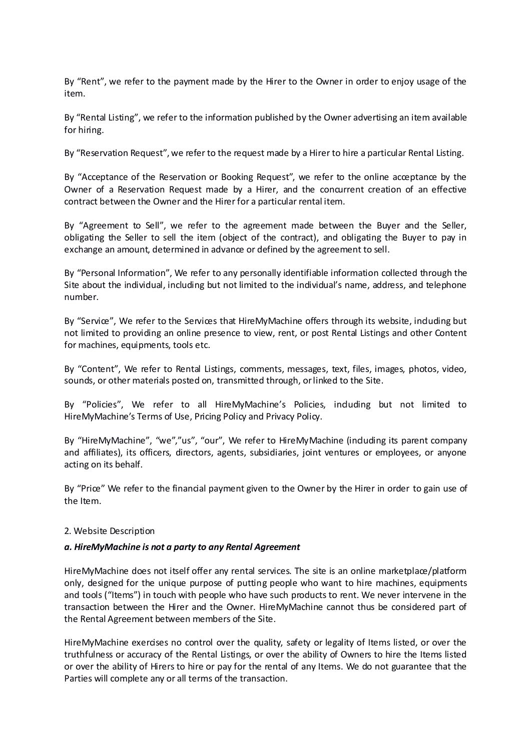By "Rent", we refer to the payment made by the Hirer to the Owner in order to enjoy usage of the item.

By "Rental Listing", we refer to the information published by the Owner advertising an item available for hiring.

By "Reservation Request", we refer to the request made by a Hirer to hire a particular Rental Listing.

By "Acceptance of the Reservation or Booking Request", we refer to the online acceptance by the Owner of a Reservation Request made by a Hirer, and the concurrent creation of an effective contract between the Owner and the Hirer for a particular rental item.

By "Agreement to Sell", we refer to the agreement made between the Buyer and the Seller, obligating the Seller to sell the item (object of the contract), and obligating the Buyer to pay in exchange an amount, determined in advance or defined by the agreement to sell.

By "Personal Information", We refer to any personally identifiable information collected through the Site about the individual, including but not limited to the individual's name, address, and telephone number.

By "Service", We refer to the Services that HireMyMachine offers through its website, induding but not limited to providing an online presence to view, rent, or post Rental Listings and other Content for machines, equipments, tools etc.

By "Content", We refer to Rental Listings, comments, messages, text, files, images, photos, video, sounds, or other materials posted on, transmitted through, or linked to the Site.

By "Policies", We refer to all HireMyMachine's Policies, including but not limited to HireMyMachine's Terms of Use, Pricing Policy and Privacy Policy.

By "HireMyMachine", "we","us", "our", We refer to HireMyMachine (including its parent company and affiliates), its officers, directors, agents, subsidiaries, joint ventures or employees, or anyone acting on its behalf.

By "Price" We refer to the financial payment given to the Owner by the Hirer in order to gain use of the Item.

### 2. Website Description

### *a. HireMyMachine is not a party to any Rental Agreement*

HireMyMachine does not itself offer any rental services. The site is an online marketplace/platform only, designed for the unique purpose of putting people who want to hire machines, equipments and tools ("Items") in touch with people who have such products to rent. We never intervene in the transaction between the Hirer and the Owner. HireMyMachine cannot thus be considered part of the Rental Agreement between members of the Site.

HireMyMachine exercises no control over the quality, safety or legality of Items listed, or over the truthfulness or accuracy of the Rental Listings, or over the ability of Owners to hire the Items listed or over the ability of Hirers to hire or pay for the rental of any Items. We do not guarantee that the Parties will complete any or all terms of the transaction.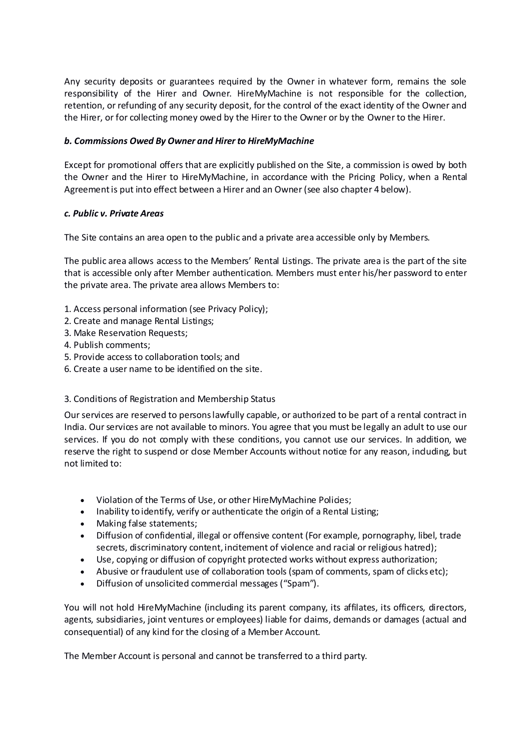Any security deposits or guarantees required by the Owner in whatever form, remains the sole responsibility of the Hirer and Owner. HireMyMachine is not responsible for the collection, retention, or refunding of any security deposit, for the control of the exact identity of the Owner and the Hirer, or for collecting money owed by the Hirer to the Owner or by the Owner to the Hirer.

# *b. Commissions Owed By Owner and Hirer to HireMyMachine*

Except for promotional offers that are explicitly published on the Site, a commission is owed by both the Owner and the Hirer to HireMyMachine, in accordance with the Pricing Policy, when a Rental Agreement is put into effect between a Hirer and an Owner (see also chapter 4 below).

# *c. Public v. Private Areas*

The Site contains an area open to the public and a private area accessible only by Members.

The public area allows access to the Members' Rental Listings. The private area is the part of the site that is accessible only after Member authentication. Members must enter his/her password to enter the private area. The private area allows Members to:

- 1. Access personal information (see Privacy Policy);
- 2. Create and manage Rental Listings;
- 3. Make Reservation Requests;
- 4. Publish comments;
- 5. Provide access to collaboration tools; and
- 6. Create a user name to be identified on the site.

### 3. Conditions of Registration and Membership Status

Our services are reserved to persons lawfully capable, or authorized to be part of a rental contract in India. Our services are not available to minors. You agree that you must be legally an adult to use our services. If you do not comply with these conditions, you cannot use our services. In addition, we reserve the right to suspend or close Member Accounts without notice for any reason, induding, but not limited to:

- Violation of the Terms of Use, or other HireMyMachine Policies;
- Inability to identify, verify or authenticate the origin of a Rental Listing;
- Making false statements;
- Diffusion of confidential, illegal or offensive content (For example, pornography, libel, trade secrets, discriminatory content, incitement of violence and racial or religious hatred);
- Use, copying or diffusion of copyright protected works without express authorization;
- Abusive or fraudulent use of collaboration tools (spam of comments, spam of clicks etc);
- Diffusion of unsolicited commercial messages ("Spam").

You will not hold HireMyMachine (including its parent company, its affilates, its officers, directors, agents, subsidiaries, joint ventures or employees) liable for daims, demands or damages (actual and consequential) of any kind for the closing of a Member Account.

The Member Account is personal and cannot be transferred to a third party.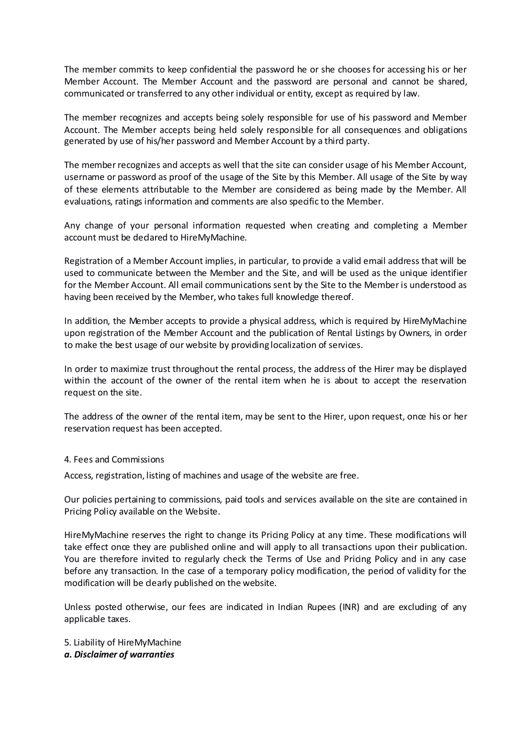The member commits to keep confidential the password he or she chooses for accessing his or her Member Account. The Member Account and the password are personal and cannot be shared, communicated or transferred to any other individual or entity, except as required by law.

The member recognizes and accepts being solely responsible for use of his password and Member Account. The Member accepts being held solely responsible for all consequences and obligations generated by use of his/her password and Member Account by a third party.

The member recognizes and accepts as well that the site can consider usage of his Member Account, username or password as proof of the usage of the Site by this Member. All usage of the Site by way of these elements attributable to the Member are considered as being made by the Member. All evaluations, ratings information and comments are also specific to the Member.

Any change of your personal information requested when creating and completing a Member account must be declared to HireMyMachine.

Registration of a Member Account implies, in particular, to provide a valid email address that will be used to communicate between the Member and the Site, and will be used as the unique identifier for the Member Account. All email communications sent by the Site to the Member is understood as having been received by the Member, who takes full knowledge thereof.

In addition, the Member accepts to provide a physical address, which is required by HireMyMachine upon registration of the Member Account and the publication of Rental Listings by Owners, in order to make the best usage of our website by providing localization of services.

In order to maximize trust throughout the rental process, the address of the Hirer may be displayed within the account of the owner of the rental item when he is about to accept the reservation request on the site.

The address of the owner of the rental item, may be sent to the Hirer, upon request, once his or her reservation request has been accepted.

### 4. Fees and Commissions

Access, registration, listing of machines and usage of the website are free.

Our policies pertaining to commissions, paid tools and services available on the site are contained in Pricing Policy available on the Website.

HireMyMachine reserves the right to change its Pricing Policy at any time. These modifications will take effect once they are published online and will apply to all transactions upon their publication. You are therefore invited to regularly check the Terms of Use and Pricing Policy and in any case before any transaction. In the case of a temporary policy modification, the period of validity for the modification will be dearly published on the website.

Unless posted otherwise, our fees are indicated in Indian Rupees (INR) and are excluding of any applicable taxes.

5. Liability of HireMyMachine

*a. Disclaimer of warranties*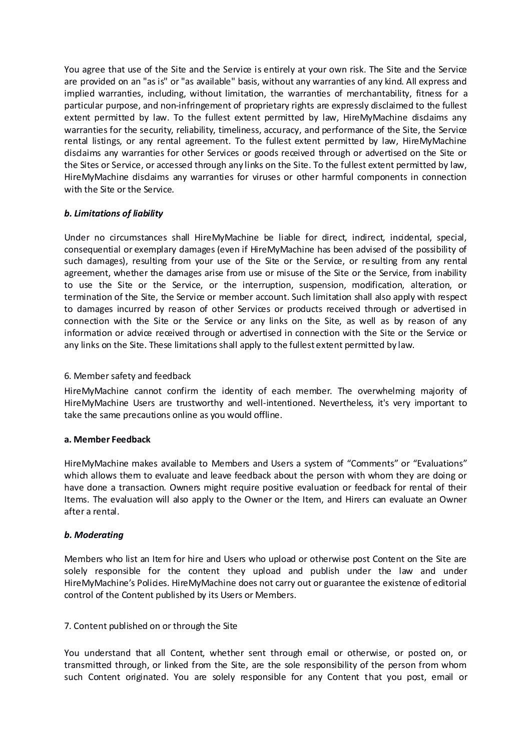You agree that use of the Site and the Service is entirely at your own risk. The Site and the Service are provided on an "as is" or "as available" basis, without any warranties of any kind. All express and implied warranties, including, without limitation, the warranties of merchantability, fitness for a particular purpose, and non-infringement of proprietary rights are expressly disclaimed to the fullest extent permitted by law. To the fullest extent permitted by law, HireMyMachine disdaims any warranties for the security, reliability, timeliness, accuracy, and performance of the Site, the Service rental listings, or any rental agreement. To the fullest extent permitted by law, HireMyMachine disclaims any warranties for other Services or goods received through or advertised on the Site or the Sites or Service, or accessed through any links on the Site. To the fullest extent permitted by law, HireMyMachine disclaims any warranties for viruses or other harmful components in connection with the Site or the Service.

# *b. Limitations of liability*

Under no circumstances shall HireMyMachine be liable for direct, indirect, incidental, special, consequential or exemplary damages (even if HireMyMachine has been advised of the possibility of such damages), resulting from your use of the Site or the Service, or resulting from any rental agreement, whether the damages arise from use or misuse of the Site or the Service, from inability to use the Site or the Service, or the interruption, suspension, modification, alteration, or termination of the Site, the Service or member account. Such limitation shall also apply with respect to damages incurred by reason of other Services or products received through or advertised in connection with the Site or the Service or any links on the Site, as well as by reason of any information or advice received through or advertised in connection with the Site or the Service or any links on the Site. These limitations shall apply to the fullest extent permitted by law.

### 6. Member safety and feedback

HireMyMachine cannot confirm the identity of each member. The overwhelming majority of HireMyMachine Users are trustworthy and well-intentioned. Nevertheless, it's very important to take the same precautions online as you would offline.

### **a. Member Feedback**

HireMyMachine makes available to Members and Users a system of "Comments" or "Evaluations" which allows them to evaluate and leave feedback about the person with whom they are doing or have done a transaction. Owners might require positive evaluation or feedback for rental of their Items. The evaluation will also apply to the Owner or the Item, and Hirers can evaluate an Owner after a rental.

### *b. Moderating*

Members who list an Item for hire and Users who upload or otherwise post Content on the Site are solely responsible for the content they upload and publish under the law and under HireMyMachine's Policies. HireMyMachine does not carry out or guarantee the existence of editorial control of the Content published by its Users or Members.

### 7. Content published on or through the Site

You understand that all Content, whether sent through email or otherwise, or posted on, or transmitted through, or linked from the Site, are the sole responsibility of the person from whom such Content originated. You are solely responsible for any Content that you post, email or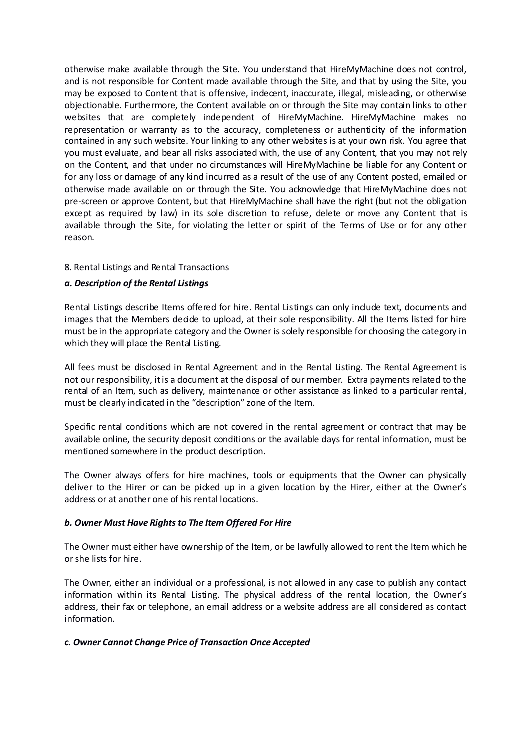otherwise make available through the Site. You understand that HireMyMachine does not control, and is not responsible for Content made available through the Site, and that by using the Site, you may be exposed to Content that is offensive, indecent, inaccurate, illegal, misleading, or otherwise objectionable. Furthermore, the Content available on or through the Site may contain links to other websites that are completely independent of HireMyMachine. HireMyMachine makes no representation or warranty as to the accuracy, completeness or authenticity of the information contained in any such website. Your linking to any other websites is at your own risk. You agree that you must evaluate, and bear all risks associated with, the use of any Content, that you may not rely on the Content, and that under no circumstances will HireMyMachine be liable for any Content or for any loss or damage of any kind incurred as a result of the use of any Content posted, emailed or otherwise made available on or through the Site. You acknowledge that HireMyMachine does not pre-screen or approve Content, but that HireMyMachine shall have the right (but not the obligation except as required by law) in its sole discretion to refuse, delete or move any Content that is available through the Site, for violating the letter or spirit of the Terms of Use or for any other reason.

# 8. Rental Listings and Rental Transactions

# *a. Description of the Rental Listings*

Rental Listings describe Items offered for hire. Rental Listings can only include text, documents and images that the Members decide to upload, at their sole responsibility. All the Items listed for hire must be in the appropriate category and the Owner is solely responsible for choosing the category in which they will place the Rental Listing.

All fees must be disclosed in Rental Agreement and in the Rental Listing. The Rental Agreement is not our responsibility, it is a document at the disposal of our member. Extra payments related to the rental of an Item, such as delivery, maintenance or other assistance as linked to a particular rental, must be clearly indicated in the "description" zone of the Item.

Specific rental conditions which are not covered in the rental agreement or contract that may be available online, the security deposit conditions or the available days for rental information, must be mentioned somewhere in the product description.

The Owner always offers for hire machines, tools or equipments that the Owner can physically deliver to the Hirer or can be picked up in a given location by the Hirer, either at the Owner's address or at another one of his rental locations.

# *b. Owner Must Have Rights to The Item Offered For Hire*

The Owner must either have ownership of the Item, or be lawfully allowed to rent the Item which he or she lists for hire.

The Owner, either an individual or a professional, is not allowed in any case to publish any contact information within its Rental Listing. The physical address of the rental location, the Owner's address, their fax or telephone, an email address or a website address are all considered as contact information.

### *c. Owner Cannot Change Price of Transaction Once Accepted*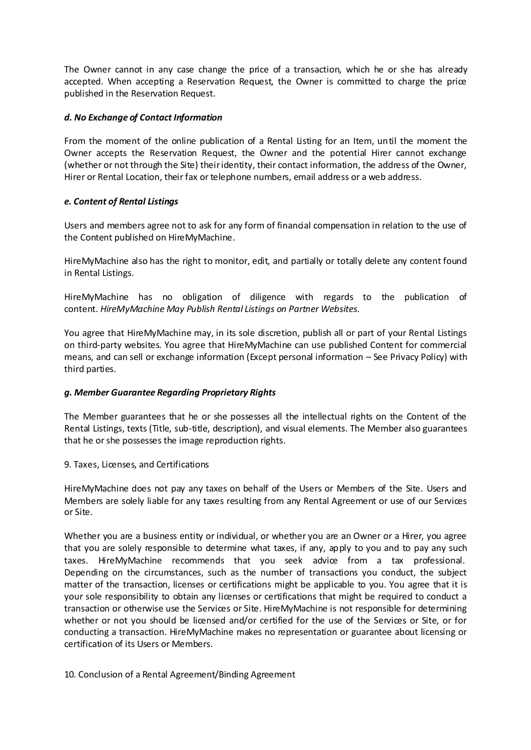The Owner cannot in any case change the price of a transaction, which he or she has already accepted. When accepting a Reservation Request, the Owner is committed to charge the price published in the Reservation Request.

# *d. No Exchange of Contact Information*

From the moment of the online publication of a Rental Listing for an Item, until the moment the Owner accepts the Reservation Request, the Owner and the potential Hirer cannot exchange (whether or not through the Site) their identity, their contact information, the address of the Owner, Hirer or Rental Location, their fax or telephone numbers, email address or a web address.

# *e. Content of Rental Listings*

Users and members agree not to ask for any form of financial compensation in relation to the use of the Content published on HireMyMachine.

HireMyMachine also has the right to monitor, edit, and partially or totally delete any content found in Rental Listings.

HireMyMachine has no obligation of diligence with regards to the publication of content. *HireMyMachine May Publish Rental Listings on Partner Websites.*

You agree that HireMyMachine may, in its sole discretion, publish all or part of your Rental Listings on third-party websites. You agree that HireMyMachine can use published Content for commercial means, and can sell or exchange information (Except personal information – See Privacy Policy) with third parties.

# *g. Member Guarantee Regarding Proprietary Rights*

The Member guarantees that he or she possesses all the intellectual rights on the Content of the Rental Listings, texts (Title, sub-title, description), and visual elements. The Member also guarantees that he or she possesses the image reproduction rights.

### 9. Taxes, Licenses, and Certifications

HireMyMachine does not pay any taxes on behalf of the Users or Members of the Site. Users and Members are solely liable for any taxes resulting from any Rental Agreement or use of our Services or Site.

Whether you are a business entity or individual, or whether you are an Owner or a Hirer, you agree that you are solely responsible to determine what taxes, if any, apply to you and to pay any such taxes. HireMyMachine recommends that you seek advice from a tax professional. Depending on the circumstances, such as the number of transactions you conduct, the subject matter of the transaction, licenses or certifications might be applicable to you. You agree that it is your sole responsibility to obtain any licenses or certifications that might be required to conduct a transaction or otherwise use the Services or Site. HireMyMachine is not responsible for determining whether or not you should be licensed and/or certified for the use of the Services or Site, or for conducting a transaction. HireMyMachine makes no representation or guarantee about licensing or certification of its Users or Members.

10. Conclusion of a Rental Agreement/Binding Agreement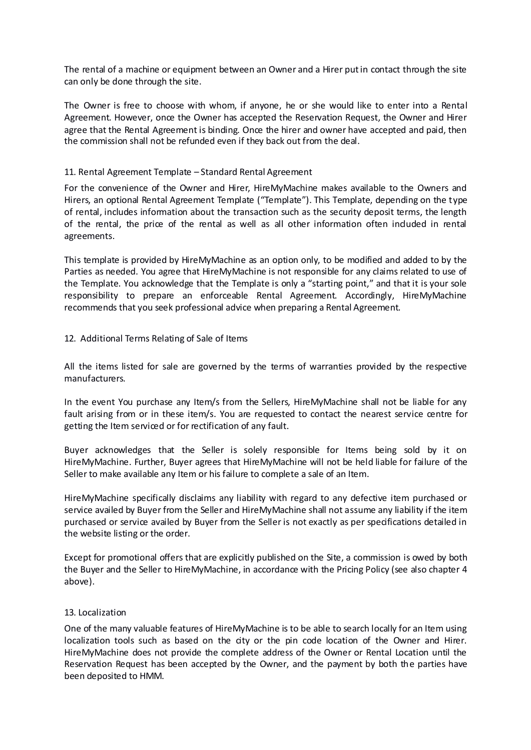The rental of a machine or equipment between an Owner and a Hirer put in contact through the site can only be done through the site.

The Owner is free to choose with whom, if anyone, he or she would like to enter into a Rental Agreement. However, once the Owner has accepted the Reservation Request, the Owner and Hirer agree that the Rental Agreement is binding. Once the hirer and owner have accepted and paid, then the commission shall not be refunded even if they back out from the deal.

### 11. Rental Agreement Template – Standard Rental Agreement

For the convenience of the Owner and Hirer, HireMyMachine makes available to the Owners and Hirers, an optional Rental Agreement Template ("Template"). This Template, depending on the type of rental, includes information about the transaction such as the security deposit terms, the length of the rental, the price of the rental as well as all other information often included in rental agreements.

This template is provided by HireMyMachine as an option only, to be modified and added to by the Parties as needed. You agree that HireMyMachine is not responsible for any claims related to use of the Template. You acknowledge that the Template is only a "starting point," and that it is your sole responsibility to prepare an enforceable Rental Agreement. Accordingly, HireMyMachine recommends that you seek professional advice when preparing a Rental Agreement.

# 12. Additional Terms Relating of Sale of Items

All the items listed for sale are governed by the terms of warranties provided by the respective manufacturers.

In the event You purchase any Item/s from the Sellers, HireMyMachine shall not be liable for any fault arising from or in these item/s. You are requested to contact the nearest service centre for getting the Item serviced or for rectification of any fault.

Buyer acknowledges that the Seller is solely responsible for Items being sold by it on HireMyMachine. Further, Buyer agrees that HireMyMachine will not be held liable for failure of the Seller to make available any Item or his failure to complete a sale of an Item.

HireMyMachine specifically disclaims any liability with regard to any defective item purchased or service availed by Buyer from the Seller and HireMyMachine shall not assume any liability if the item purchased or service availed by Buyer from the Seller is not exactly as per specifications detailed in the website listing or the order.

Except for promotional offers that are explicitly published on the Site, a commission is owed by both the Buyer and the Seller to HireMyMachine, in accordance with the Pricing Policy (see also chapter 4 above).

### 13. Localization

One of the many valuable features of HireMyMachine is to be able to search locally for an Item using localization tools such as based on the city or the pin code location of the Owner and Hirer. HireMyMachine does not provide the complete address of the Owner or Rental Location until the Reservation Request has been accepted by the Owner, and the payment by both the parties have been deposited to HMM.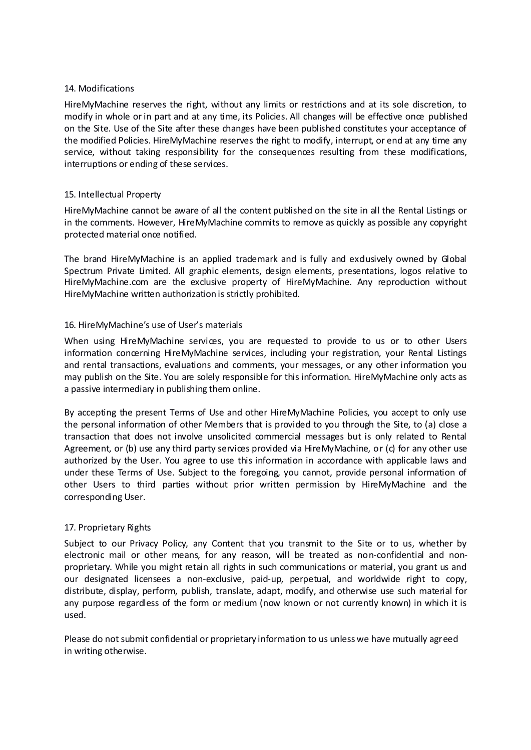### 14. Modifications

HireMyMachine reserves the right, without any limits or restrictions and at its sole discretion, to modify in whole or in part and at any time, its Policies. All changes will be effective once published on the Site. Use of the Site after these changes have been published constitutes your acceptance of the modified Policies. HireMyMachine reserves the right to modify, interrupt, or end at any time any service, without taking responsibility for the consequences resulting from these modifications, interruptions or ending of these services.

# 15. Intellectual Property

HireMyMachine cannot be aware of all the content published on the site in all the Rental Listings or in the comments. However, HireMyMachine commits to remove as quickly as possible any copyright protected material once notified.

The brand HireMyMachine is an applied trademark and is fully and exclusively owned by Global Spectrum Private Limited. All graphic elements, design elements, presentations, logos relative to HireMyMachine.com are the exclusive property of HireMyMachine. Any reproduction without HireMyMachine written authorization is strictly prohibited.

# 16. HireMyMachine's use of User's materials

When using HireMyMachine services, you are requested to provide to us or to other Users information concerning HireMyMachine services, including your registration, your Rental Listings and rental transactions, evaluations and comments, your messages, or any other information you may publish on the Site. You are solely responsible for this information. HireMyMachine only acts as a passive intermediary in publishing them online.

By accepting the present Terms of Use and other HireMyMachine Policies, you accept to only use the personal information of other Members that is provided to you through the Site, to (a) close a transaction that does not involve unsolicited commercial messages but is only related to Rental Agreement, or (b) use any third party services provided via HireMyMachine, or (c) for any other use authorized by the User. You agree to use this information in accordance with applicable laws and under these Terms of Use. Subject to the foregoing, you cannot, provide personal information of other Users to third parties without prior written permission by HireMyMachine and the corresponding User.

### 17. Proprietary Rights

Subject to our Privacy Policy, any Content that you transmit to the Site or to us, whether by electronic mail or other means, for any reason, will be treated as non-confidential and nonproprietary. While you might retain all rights in such communications or material, you grant us and our designated licensees a non-exclusive, paid-up, perpetual, and worldwide right to copy, distribute, display, perform, publish, translate, adapt, modify, and otherwise use such material for any purpose regardless of the form or medium (now known or not currently known) in which it is used.

Please do not submit confidential or proprietary information to us unless we have mutually agreed in writing otherwise.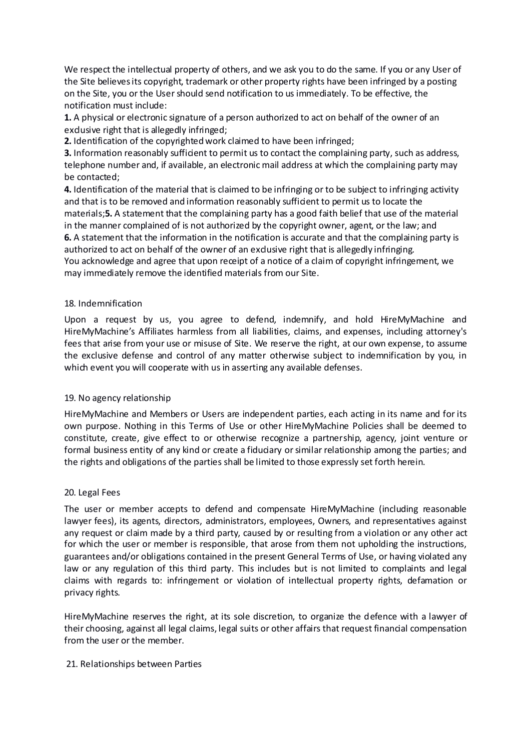We respect the intellectual property of others, and we ask you to do the same. If you or any User of the Site believes its copyright, trademark or other property rights have been infringed by a posting on the Site, you or the User should send notification to us immediately. To be effective, the notification must include:

**1.** A physical or electronic signature of a person authorized to act on behalf of the owner of an exclusive right that is allegedly infringed;

**2.** Identification of the copyrighted work claimed to have been infringed;

**3.** Information reasonably sufficient to permit us to contact the complaining party, such as address, telephone number and, if available, an electronic mail address at which the complaining party may be contacted;

**4.** Identification of the material that is claimed to be infringing or to be subject to infringing activity and that is to be removed and information reasonably sufficient to permit us to locate the materials;**5.** A statement that the complaining party has a good faith belief that use of the material in the manner complained of is not authorized by the copyright owner, agent, or the law; and

**6.** A statement that the information in the notification is accurate and that the complaining party is authorized to act on behalf of the owner of an exclusive right that is allegedly infringing. You acknowledge and agree that upon receipt of a notice of a claim of copyright infringement, we may immediately remove the identified materials from our Site.

# 18. Indemnification

Upon a request by us, you agree to defend, indemnify, and hold HireMyMachine and HireMyMachine's Affiliates harmless from all liabilities, claims, and expenses, including attorney's fees that arise from your use or misuse of Site. We reserve the right, at our own expense, to assume the exclusive defense and control of any matter otherwise subject to indemnification by you, in which event you will cooperate with us in asserting any available defenses.

### 19. No agency relationship

HireMyMachine and Members or Users are independent parties, each acting in its name and for its own purpose. Nothing in this Terms of Use or other HireMyMachine Policies shall be deemed to constitute, create, give effect to or otherwise recognize a partnership, agency, joint venture or formal business entity of any kind or create a fiduciary or similar relationship among the parties; and the rights and obligations of the parties shall be limited to those expressly set forth herein.

### 20. Legal Fees

The user or member accepts to defend and compensate HireMyMachine (including reasonable lawyer fees), its agents, directors, administrators, employees, Owners, and representatives against any request or claim made by a third party, caused by or resulting from a violation or any other act for which the user or member is responsible, that arose from them not upholding the instructions, guarantees and/or obligations contained in the present General Terms of Use, or having violated any law or any regulation of this third party. This includes but is not limited to complaints and legal claims with regards to: infringement or violation of intellectual property rights, defamation or privacy rights.

HireMyMachine reserves the right, at its sole discretion, to organize the defence with a lawyer of their choosing, against all legal claims, legal suits or other affairs that request financial compensation from the user or the member.

### 21. Relationships between Parties